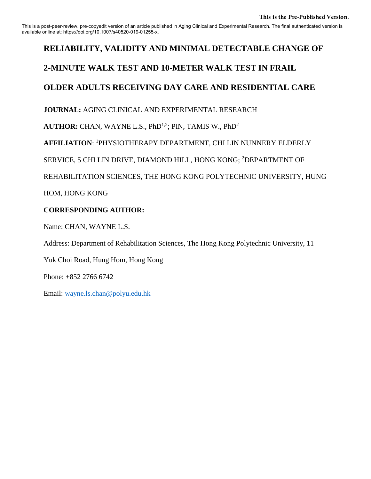This is a post-peer-review, pre-copyedit version of an article published in Aging Clinical and Experimental Research. The final authenticated version is available online at: https://doi.org/10.1007/s40520-019-01255-x.

## **RELIABILITY, VALIDITY AND MINIMAL DETECTABLE CHANGE OF**

## **2-MINUTE WALK TEST AND 10-METER WALK TEST IN FRAIL**

## **OLDER ADULTS RECEIVING DAY CARE AND RESIDENTIAL CARE**

**JOURNAL:** AGING CLINICAL AND EXPERIMENTAL RESEARCH

AUTHOR: CHAN, WAYNE L.S., PhD<sup>1,2</sup>; PIN, TAMIS W., PhD<sup>2</sup>

**AFFILIATION**: <sup>1</sup>PHYSIOTHERAPY DEPARTMENT, CHI LIN NUNNERY ELDERLY

SERVICE, 5 CHI LIN DRIVE, DIAMOND HILL, HONG KONG; <sup>2</sup>DEPARTMENT OF

REHABILITATION SCIENCES, THE HONG KONG POLYTECHNIC UNIVERSITY, HUNG

HOM, HONG KONG

## **CORRESPONDING AUTHOR:**

Name: CHAN, WAYNE L.S.

Address: Department of Rehabilitation Sciences, The Hong Kong Polytechnic University, 11

Yuk Choi Road, Hung Hom, Hong Kong

Phone: +852 2766 6742

Email: [wayne.ls.chan@polyu.edu.hk](mailto:wayne.ls.chan@polyu.edu.hk)